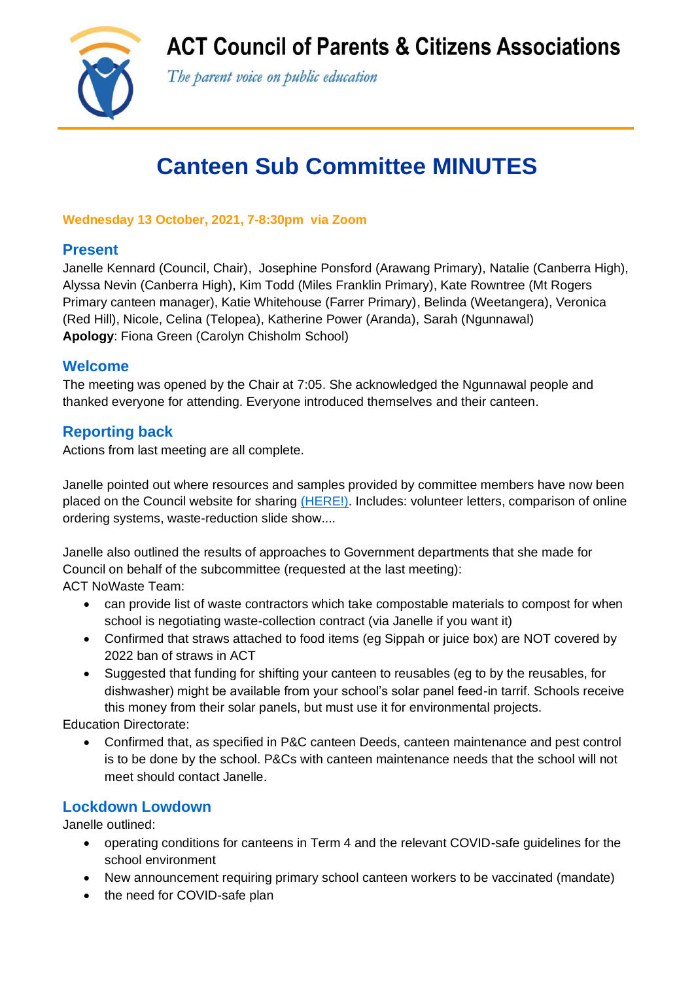**ACT Council of Parents & Citizens Associations** 



The parent voice on public education

# **Canteen Sub Committee MINUTES**

**Wednesday 13 October, 2021, 7-8:30pm via Zoom**

## **Present**

Janelle Kennard (Council, Chair), Josephine Ponsford (Arawang Primary), Natalie (Canberra High), Alyssa Nevin (Canberra High), Kim Todd (Miles Franklin Primary), Kate Rowntree (Mt Rogers Primary canteen manager), Katie Whitehouse (Farrer Primary), Belinda (Weetangera), Veronica (Red Hill), Nicole, Celina (Telopea), Katherine Power (Aranda), Sarah (Ngunnawal) **Apology**: Fiona Green (Carolyn Chisholm School)

## **Welcome**

The meeting was opened by the Chair at 7:05. She acknowledged the Ngunnawal people and thanked everyone for attending. Everyone introduced themselves and their canteen.

## **Reporting back**

Actions from last meeting are all complete.

Janelle pointed out where resources and samples provided by committee members have now been placed on the Council website for sharing [\(HERE!\).](https://www.actparents.org.au/index.php/help-for-p-cs/sharing-expertise/item/481-canteen-sub-committee-materials) Includes: volunteer letters, comparison of online ordering systems, waste-reduction slide show....

Janelle also outlined the results of approaches to Government departments that she made for Council on behalf of the subcommittee (requested at the last meeting):

ACT NoWaste Team:

- can provide list of waste contractors which take compostable materials to compost for when school is negotiating waste-collection contract (via Janelle if you want it)
- Confirmed that straws attached to food items (eg Sippah or juice box) are NOT covered by 2022 ban of straws in ACT
- Suggested that funding for shifting your canteen to reusables (eg to by the reusables, for dishwasher) might be available from your school's solar panel feed-in tarrif. Schools receive this money from their solar panels, but must use it for environmental projects.

Education Directorate:

• Confirmed that, as specified in P&C canteen Deeds, canteen maintenance and pest control is to be done by the school. P&Cs with canteen maintenance needs that the school will not meet should contact Janelle.

# **Lockdown Lowdown**

Janelle outlined:

- operating conditions for canteens in Term 4 and the relevant COVID-safe guidelines for the school environment
- New announcement requiring primary school canteen workers to be vaccinated (mandate)
- the need for COVID-safe plan